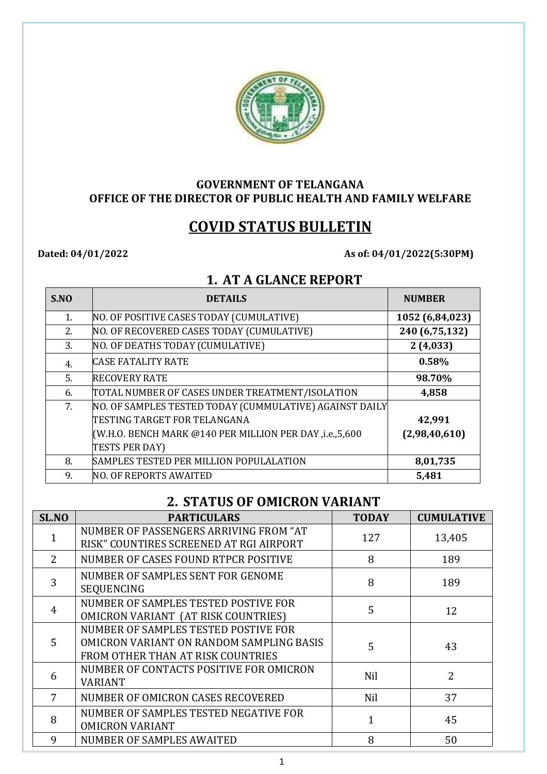

#### **GOVERNMENT OF TELANGANA OFFICE OF THE DIRECTOR OF PUBLIC HEALTH AND FAMILY WELFARE**

## **COVID STATUS BULLETIN**

**Dated: 04/01/2022 As of: 04/01/2022(5:30PM)**

## **1. AT A GLANCE REPORT**

| S.NO | <b>DETAILS</b>                                          | <b>NUMBER</b>   |
|------|---------------------------------------------------------|-----------------|
| 1.   | NO. OF POSITIVE CASES TODAY (CUMULATIVE)                | 1052 (6,84,023) |
| 2.   | NO. OF RECOVERED CASES TODAY (CUMULATIVE)               | 240 (6,75,132)  |
| 3.   | NO. OF DEATHS TODAY (CUMULATIVE)                        | 2(4,033)        |
| 4.   | <b>CASE FATALITY RATE</b>                               | 0.58%           |
| 5.   | <b>RECOVERY RATE</b>                                    | 98.70%          |
| 6.   | TOTAL NUMBER OF CASES UNDER TREATMENT/ISOLATION         | 4,858           |
| 7.   | NO. OF SAMPLES TESTED TODAY (CUMMULATIVE) AGAINST DAILY |                 |
|      | TESTING TARGET FOR TELANGANA                            | 42,991          |
|      | (W.H.O. BENCH MARK @140 PER MILLION PER DAY ,i.e.,5,600 | (2,98,40,610)   |
|      | TESTS PER DAY)                                          |                 |
| 8.   | SAMPLES TESTED PER MILLION POPULALATION                 | 8,01,735        |
| 9.   | <b>NO. OF REPORTS AWAITED</b>                           | 5,481           |

## **2. STATUS OF OMICRON VARIANT**

| SL.NO | <b>PARTICULARS</b>                                                                                                    | <b>TODAY</b> | <b>CUMULATIVE</b> |
|-------|-----------------------------------------------------------------------------------------------------------------------|--------------|-------------------|
|       | NUMBER OF PASSENGERS ARRIVING FROM "AT<br>RISK" COUNTIRES SCREENED AT RGI AIRPORT                                     | 127          | 13,405            |
| 2     | NUMBER OF CASES FOUND RTPCR POSITIVE                                                                                  | 8            | 189               |
| 3     | NUMBER OF SAMPLES SENT FOR GENOME<br><b>SEQUENCING</b>                                                                | 8            | 189               |
| 4     | NUMBER OF SAMPLES TESTED POSTIVE FOR<br><b>OMICRON VARIANT (AT RISK COUNTRIES)</b>                                    | 5            | 12                |
| 5.    | NUMBER OF SAMPLES TESTED POSTIVE FOR<br>OMICRON VARIANT ON RANDOM SAMPLING BASIS<br>FROM OTHER THAN AT RISK COUNTRIES | 5            | 43                |
| 6     | NUMBER OF CONTACTS POSITIVE FOR OMICRON<br><b>VARIANT</b>                                                             | Nil          | 2                 |
| 7     | NUMBER OF OMICRON CASES RECOVERED                                                                                     | Nil          | 37                |
| 8     | NUMBER OF SAMPLES TESTED NEGATIVE FOR<br><b>OMICRON VARIANT</b>                                                       | 1            | 45                |
| 9     | <b>NUMBER OF SAMPLES AWAITED</b>                                                                                      | 8            | 50                |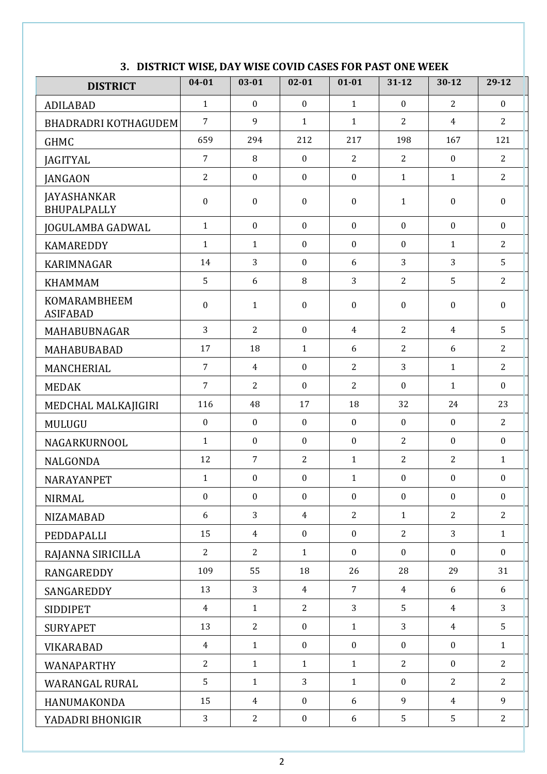| <b>DISTRICT</b>                        | $04 - 01$        | $03 - 01$        | $02 - 01$        | $01 - 01$        | $31 - 12$        | $30 - 12$        | 29-12            |
|----------------------------------------|------------------|------------------|------------------|------------------|------------------|------------------|------------------|
| <b>ADILABAD</b>                        | $\mathbf{1}$     | $\boldsymbol{0}$ | $\mathbf{0}$     | $\mathbf{1}$     | $\mathbf{0}$     | $\overline{2}$   | $\mathbf{0}$     |
| <b>BHADRADRI KOTHAGUDEM</b>            | $\overline{7}$   | 9                | $\mathbf{1}$     | $\mathbf{1}$     | $\overline{2}$   | $\overline{4}$   | $\overline{2}$   |
| <b>GHMC</b>                            | 659              | 294              | 212              | 217              | 198              | 167              | 121              |
| <b>JAGITYAL</b>                        | $\overline{7}$   | 8                | $\boldsymbol{0}$ | $\overline{2}$   | $\overline{2}$   | $\mathbf{0}$     | $\overline{2}$   |
| <b>JANGAON</b>                         | $\overline{2}$   | $\mathbf{0}$     | $\boldsymbol{0}$ | $\boldsymbol{0}$ | $\mathbf{1}$     | $\mathbf{1}$     | $\overline{2}$   |
| <b>JAYASHANKAR</b><br>BHUPALPALLY      | $\boldsymbol{0}$ | $\boldsymbol{0}$ | $\boldsymbol{0}$ | $\boldsymbol{0}$ | $\mathbf{1}$     | $\boldsymbol{0}$ | $\mathbf{0}$     |
| <b>JOGULAMBA GADWAL</b>                | $\mathbf{1}$     | $\boldsymbol{0}$ | $\boldsymbol{0}$ | $\mathbf{0}$     | $\mathbf{0}$     | $\boldsymbol{0}$ | $\mathbf{0}$     |
| <b>KAMAREDDY</b>                       | $\mathbf{1}$     | $\mathbf{1}$     | $\mathbf{0}$     | $\boldsymbol{0}$ | $\boldsymbol{0}$ | $\mathbf{1}$     | $\overline{2}$   |
| <b>KARIMNAGAR</b>                      | 14               | 3                | $\boldsymbol{0}$ | 6                | 3                | 3                | 5                |
| <b>KHAMMAM</b>                         | 5                | 6                | 8                | 3                | $\overline{2}$   | 5                | $\overline{2}$   |
| <b>KOMARAMBHEEM</b><br><b>ASIFABAD</b> | $\boldsymbol{0}$ | $\mathbf{1}$     | $\boldsymbol{0}$ | $\boldsymbol{0}$ | $\boldsymbol{0}$ | $\boldsymbol{0}$ | $\mathbf{0}$     |
| <b>MAHABUBNAGAR</b>                    | 3                | $\overline{2}$   | $\mathbf{0}$     | $\overline{4}$   | $\overline{2}$   | $\overline{4}$   | 5                |
| MAHABUBABAD                            | 17               | 18               | $\mathbf{1}$     | 6                | $\overline{2}$   | 6                | $\overline{2}$   |
| MANCHERIAL                             | $\overline{7}$   | $\overline{4}$   | $\boldsymbol{0}$ | $\overline{2}$   | 3                | $\mathbf{1}$     | $\overline{2}$   |
| <b>MEDAK</b>                           | $\overline{7}$   | $\overline{2}$   | $\boldsymbol{0}$ | $\overline{2}$   | $\mathbf{0}$     | $\mathbf{1}$     | $\boldsymbol{0}$ |
| MEDCHAL MALKAJIGIRI                    | 116              | 48               | 17               | 18               | 32               | 24               | 23               |
| MULUGU                                 | $\boldsymbol{0}$ | $\boldsymbol{0}$ | $\boldsymbol{0}$ | $\boldsymbol{0}$ | $\boldsymbol{0}$ | $\mathbf{0}$     | $\overline{2}$   |
| NAGARKURNOOL                           | $\mathbf{1}$     | $\boldsymbol{0}$ | $\boldsymbol{0}$ | $\boldsymbol{0}$ | $\overline{2}$   | $\boldsymbol{0}$ | $\mathbf{0}$     |
| <b>NALGONDA</b>                        | 12               | $\overline{7}$   | $\overline{2}$   | $\mathbf{1}$     | $\overline{2}$   | $\overline{2}$   | $\mathbf{1}$     |
| NARAYANPET                             | $\mathbf{1}$     | $\boldsymbol{0}$ | 0                | $\mathbf{1}$     | $\boldsymbol{0}$ | $\boldsymbol{0}$ | $\boldsymbol{0}$ |
| <b>NIRMAL</b>                          | $\boldsymbol{0}$ | $\boldsymbol{0}$ | $\boldsymbol{0}$ | $\boldsymbol{0}$ | $\mathbf{0}$     | $\mathbf{0}$     | $\mathbf{0}$     |
| NIZAMABAD                              | 6                | 3                | $\overline{4}$   | $\overline{2}$   | $\mathbf{1}$     | $\overline{2}$   | $\overline{2}$   |
| PEDDAPALLI                             | 15               | $\overline{4}$   | $\boldsymbol{0}$ | $\boldsymbol{0}$ | $\overline{2}$   | 3                | $\mathbf{1}$     |
| RAJANNA SIRICILLA                      | 2                | $\overline{2}$   | $\mathbf{1}$     | $\boldsymbol{0}$ | $\mathbf{0}$     | $\mathbf{0}$     | $\mathbf{0}$     |
| <b>RANGAREDDY</b>                      | 109              | 55               | 18               | 26               | 28               | 29               | 31               |
| SANGAREDDY                             | 13               | 3                | $\overline{4}$   | $\overline{7}$   | $\overline{4}$   | 6                | 6                |
| <b>SIDDIPET</b>                        | $\overline{4}$   | $\mathbf{1}$     | $\overline{2}$   | 3                | 5                | $\overline{4}$   | $\overline{3}$   |
| <b>SURYAPET</b>                        | 13               | $\overline{2}$   | $\boldsymbol{0}$ | $\mathbf{1}$     | 3                | $\overline{4}$   | 5                |
| <b>VIKARABAD</b>                       | $\overline{4}$   | $\mathbf{1}$     | $\mathbf{0}$     | $\boldsymbol{0}$ | $\boldsymbol{0}$ | $\mathbf{0}$     | $\mathbf{1}$     |
| WANAPARTHY                             | 2                | $\mathbf{1}$     | $\mathbf{1}$     | $\mathbf{1}$     | $\overline{2}$   | $\bf{0}$         | $\overline{2}$   |
| <b>WARANGAL RURAL</b>                  | 5                | $\mathbf{1}$     | $\overline{3}$   | $\mathbf{1}$     | $\mathbf{0}$     | $\overline{2}$   | $\overline{2}$   |
| HANUMAKONDA                            | 15               | $\overline{4}$   | $\mathbf{0}$     | 6                | 9                | $\overline{4}$   | 9                |
| YADADRI BHONIGIR                       | 3                | $\overline{2}$   | $\boldsymbol{0}$ | 6                | 5                | 5                | $\overline{2}$   |

#### **3. DISTRICT WISE, DAY WISE COVID CASES FOR PAST ONE WEEK**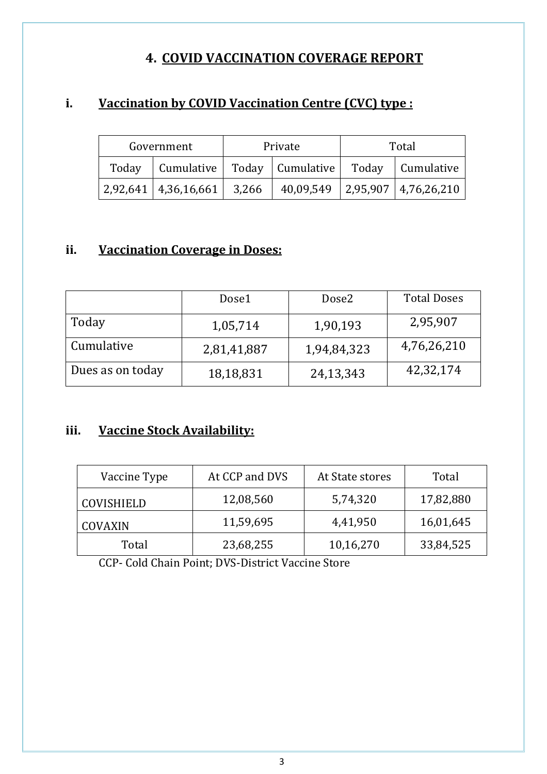# **4. COVID VACCINATION COVERAGE REPORT**

## **i. Vaccination by COVID Vaccination Centre (CVC) type :**

| Government                                                   | Private |  | Total                                                                                                      |
|--------------------------------------------------------------|---------|--|------------------------------------------------------------------------------------------------------------|
| Today   Cumulative   Today   Cumulative   Today   Cumulative |         |  |                                                                                                            |
|                                                              |         |  | $\mid$ 2,92,641 $\mid$ 4,36,16,661 $\mid$ 3,266 $\mid$ 40,09,549 $\mid$ 2,95,907 $\mid$ 4,76,26,210 $\mid$ |

## **ii. Vaccination Coverage in Doses:**

|                  | Dose1       | Dose2       | <b>Total Doses</b> |
|------------------|-------------|-------------|--------------------|
| Today            | 1,05,714    | 1,90,193    | 2,95,907           |
| Cumulative       | 2,81,41,887 | 1,94,84,323 | 4,76,26,210        |
| Dues as on today | 18,18,831   | 24,13,343   | 42,32,174          |

## **iii. Vaccine Stock Availability:**

| Vaccine Type   | At CCP and DVS | At State stores | Total     |
|----------------|----------------|-----------------|-----------|
| COVISHIELD     | 12,08,560      | 5,74,320        | 17,82,880 |
| <b>COVAXIN</b> | 11,59,695      | 4,41,950        | 16,01,645 |
| Total          | 23,68,255      | 10,16,270       | 33,84,525 |

CCP- Cold Chain Point; DVS-District Vaccine Store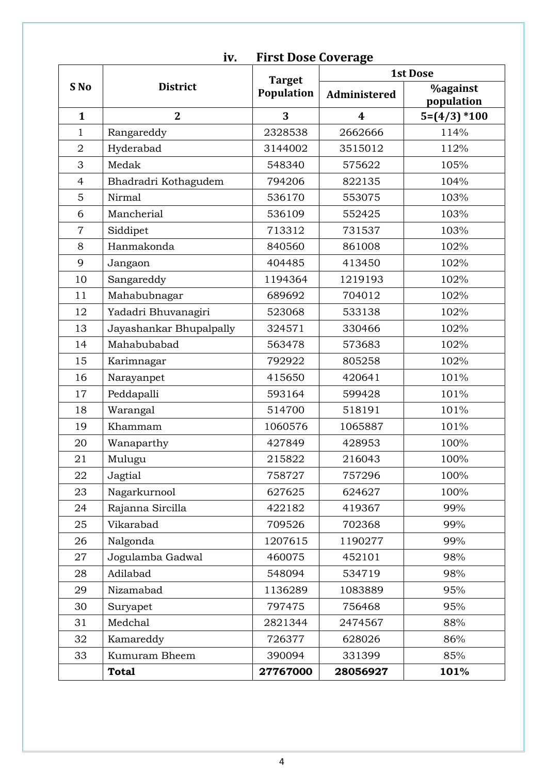|                 |                         | <b>Target</b> |              | <b>1st Dose</b>               |
|-----------------|-------------------------|---------------|--------------|-------------------------------|
| S <sub>No</sub> | <b>District</b>         | Population    | Administered | <b>%against</b><br>population |
| $\mathbf{1}$    | $\overline{2}$          | 3             | 4            | $5=(4/3)*100$                 |
| $\mathbf{1}$    | Rangareddy              | 2328538       | 2662666      | 114%                          |
| $\overline{2}$  | Hyderabad               | 3144002       | 3515012      | 112%                          |
| 3               | Medak                   | 548340        | 575622       | 105%                          |
| $\overline{4}$  | Bhadradri Kothagudem    | 794206        | 822135       | 104%                          |
| 5               | Nirmal                  | 536170        | 553075       | 103%                          |
| 6               | Mancherial              | 536109        | 552425       | 103%                          |
| $\overline{7}$  | Siddipet                | 713312        | 731537       | 103%                          |
| 8               | Hanmakonda              | 840560        | 861008       | 102%                          |
| 9               | Jangaon                 | 404485        | 413450       | 102%                          |
| 10              | Sangareddy              | 1194364       | 1219193      | 102%                          |
| 11              | Mahabubnagar            | 689692        | 704012       | 102%                          |
| 12              | Yadadri Bhuvanagiri     | 523068        | 533138       | 102%                          |
| 13              | Jayashankar Bhupalpally | 324571        | 330466       | 102%                          |
| 14              | Mahabubabad             | 563478        | 573683       | 102%                          |
| 15              | Karimnagar              | 792922        | 805258       | 102%                          |
| 16              | Narayanpet              | 415650        | 420641       | 101%                          |
| 17              | Peddapalli              | 593164        | 599428       | 101%                          |
| 18              | Warangal                | 514700        | 518191       | 101%                          |
| 19              | Khammam                 | 1060576       | 1065887      | 101%                          |
| 20              | Wanaparthy              | 427849        | 428953       | 100%                          |
| 21              | Mulugu                  | 215822        | 216043       | 100%                          |
| 22              | Jagtial                 | 758727        | 757296       | 100%                          |
| 23              | Nagarkurnool            | 627625        | 624627       | 100%                          |
| 24              | Rajanna Sircilla        | 422182        | 419367       | 99%                           |
| 25              | Vikarabad               | 709526        | 702368       | 99%                           |
| 26              | Nalgonda                | 1207615       | 1190277      | 99%                           |
| 27              | Jogulamba Gadwal        | 460075        | 452101       | 98%                           |
| 28              | Adilabad                | 548094        | 534719       | 98%                           |
| 29              | Nizamabad               | 1136289       | 1083889      | 95%                           |
| 30              | Suryapet                | 797475        | 756468       | 95%                           |
| 31              | Medchal                 | 2821344       | 2474567      | 88%                           |
| 32              | Kamareddy               | 726377        | 628026       | 86%                           |
| 33              | Kumuram Bheem           | 390094        | 331399       | 85%                           |
|                 | <b>Total</b>            | 27767000      | 28056927     | 101%                          |

# **iv. First Dose Coverage**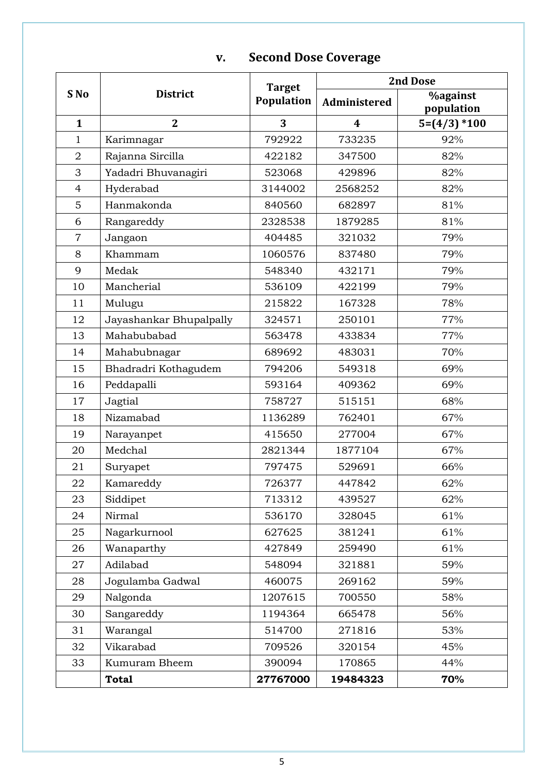|                 |                         | <b>Target</b> | <b>2nd Dose</b>  |                               |  |
|-----------------|-------------------------|---------------|------------------|-------------------------------|--|
| S <sub>No</sub> | <b>District</b>         | Population    | Administered     | <b>%against</b><br>population |  |
| $\mathbf{1}$    | $\overline{2}$          | 3             | $\boldsymbol{4}$ | $5=(4/3)*100$                 |  |
| $\mathbf{1}$    | Karimnagar              | 792922        | 733235           | 92%                           |  |
| $\overline{2}$  | Rajanna Sircilla        | 422182        | 347500           | 82%                           |  |
| 3               | Yadadri Bhuvanagiri     | 523068        | 429896           | 82%                           |  |
| $\overline{4}$  | Hyderabad               | 3144002       | 2568252          | 82%                           |  |
| 5               | Hanmakonda              | 840560        | 682897           | 81%                           |  |
| 6               | Rangareddy              | 2328538       | 1879285          | 81%                           |  |
| $\overline{7}$  | Jangaon                 | 404485        | 321032           | 79%                           |  |
| 8               | Khammam                 | 1060576       | 837480           | 79%                           |  |
| 9               | Medak                   | 548340        | 432171           | 79%                           |  |
| 10              | Mancherial              | 536109        | 422199           | 79%                           |  |
| 11              | Mulugu                  | 215822        | 167328           | 78%                           |  |
| 12              | Jayashankar Bhupalpally | 324571        | 250101           | 77%                           |  |
| 13              | Mahabubabad             | 563478        | 433834           | 77%                           |  |
| 14              | Mahabubnagar            | 689692        | 483031           | 70%                           |  |
| 15              | Bhadradri Kothagudem    | 794206        | 549318           | 69%                           |  |
| 16              | Peddapalli              | 593164        | 409362           | 69%                           |  |
| 17              | Jagtial                 | 758727        | 515151           | 68%                           |  |
| 18              | Nizamabad               | 1136289       | 762401           | 67%                           |  |
| 19              | Narayanpet              | 415650        | 277004           | 67%                           |  |
| 20              | Medchal                 | 2821344       | 1877104          | 67%                           |  |
| 21              | Suryapet                | 797475        | 529691           | 66%                           |  |
| 22              | Kamareddy               | 726377        | 447842           | 62%                           |  |
| 23              | Siddipet                | 713312        | 439527           | 62%                           |  |
| 24              | Nirmal                  | 536170        | 328045           | 61%                           |  |
| 25              | Nagarkurnool            | 627625        | 381241           | 61%                           |  |
| 26              | Wanaparthy              | 427849        | 259490           | 61%                           |  |
| 27              | Adilabad                | 548094        | 321881           | 59%                           |  |
| 28              | Jogulamba Gadwal        | 460075        | 269162           | 59%                           |  |
| 29              | Nalgonda                | 1207615       | 700550           | 58%                           |  |
| 30              | Sangareddy              | 1194364       | 665478           | 56%                           |  |
| 31              | Warangal                | 514700        | 271816           | 53%                           |  |
| 32              | Vikarabad               | 709526        | 320154           | 45%                           |  |
| 33              | Kumuram Bheem           | 390094        | 170865           | 44%                           |  |
|                 | <b>Total</b>            | 27767000      | 19484323         | 70%                           |  |

# **v. Second Dose Coverage**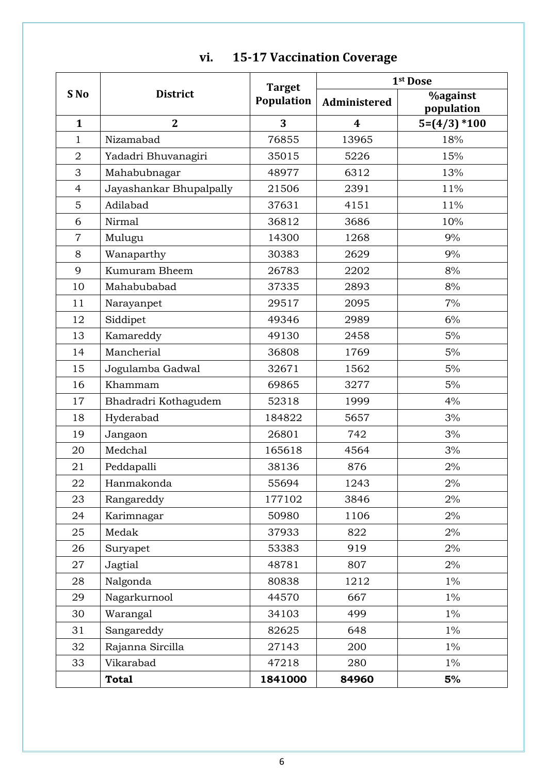|                 | <b>Target</b>           |            |                  | 1st Dose                      |
|-----------------|-------------------------|------------|------------------|-------------------------------|
| S <sub>No</sub> | <b>District</b>         | Population | Administered     | <b>%against</b><br>population |
| $\mathbf{1}$    | $\overline{2}$          | 3          | $\boldsymbol{4}$ | $5=(4/3)*100$                 |
| $\mathbf{1}$    | Nizamabad               | 76855      | 13965            | 18%                           |
| $\overline{2}$  | Yadadri Bhuvanagiri     | 35015      | 5226             | 15%                           |
| 3               | Mahabubnagar            | 48977      | 6312             | 13%                           |
| $\overline{4}$  | Jayashankar Bhupalpally | 21506      | 2391             | 11%                           |
| 5               | Adilabad                | 37631      | 4151             | 11%                           |
| 6               | Nirmal                  | 36812      | 3686             | 10%                           |
| $\overline{7}$  | Mulugu                  | 14300      | 1268             | 9%                            |
| 8               | Wanaparthy              | 30383      | 2629             | 9%                            |
| 9               | Kumuram Bheem           | 26783      | 2202             | 8%                            |
| 10              | Mahabubabad             | 37335      | 2893             | 8%                            |
| 11              | Narayanpet              | 29517      | 2095             | 7%                            |
| 12              | Siddipet                | 49346      | 2989             | 6%                            |
| 13              | Kamareddy               | 49130      | 2458             | 5%                            |
| 14              | Mancherial              | 36808      | 1769             | 5%                            |
| 15              | Jogulamba Gadwal        | 32671      | 1562             | 5%                            |
| 16              | Khammam                 | 69865      | 3277             | 5%                            |
| 17              | Bhadradri Kothagudem    | 52318      | 1999             | 4%                            |
| 18              | Hyderabad               | 184822     | 5657             | 3%                            |
| 19              | Jangaon                 | 26801      | 742              | 3%                            |
| 20              | Medchal                 | 165618     | 4564             | 3%                            |
| 21              | Peddapalli              | 38136      | 876              | 2%                            |
| 22              | Hanmakonda              | 55694      | 1243             | 2%                            |
| 23              | Rangareddy              | 177102     | 3846             | 2%                            |
| 24              | Karimnagar              | 50980      | 1106             | 2%                            |
| 25              | Medak                   | 37933      | 822              | 2%                            |
| 26              | Suryapet                | 53383      | 919              | 2%                            |
| 27              | Jagtial                 | 48781      | 807              | 2%                            |
| 28              | Nalgonda                | 80838      | 1212             | $1\%$                         |
| 29              | Nagarkurnool            | 44570      | 667              | $1\%$                         |
| 30              | Warangal                | 34103      | 499              | $1\%$                         |
| 31              | Sangareddy              | 82625      | 648              | $1\%$                         |
| 32              | Rajanna Sircilla        | 27143      | 200              | $1\%$                         |
| 33              | Vikarabad               | 47218      | 280              | $1\%$                         |
|                 | <b>Total</b>            | 1841000    | 84960            | 5%                            |

# **vi. 15-17 Vaccination Coverage**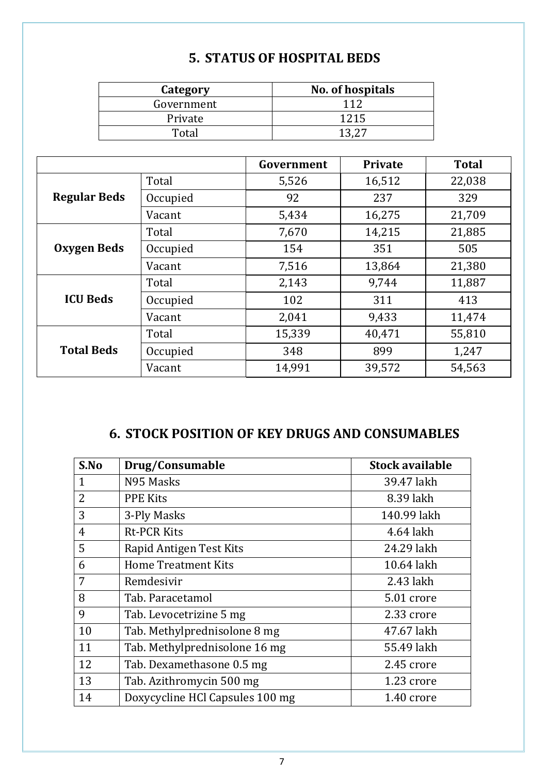## **5. STATUS OF HOSPITAL BEDS**

| Category   | No. of hospitals |
|------------|------------------|
| Government | 112              |
| Private    | 1215             |
| Total      |                  |

|                     |          | Government | <b>Private</b> | <b>Total</b> |
|---------------------|----------|------------|----------------|--------------|
|                     | Total    | 5,526      | 16,512         | 22,038       |
| <b>Regular Beds</b> | Occupied | 92         | 237            | 329          |
|                     | Vacant   | 5,434      | 16,275         | 21,709       |
|                     | Total    | 7,670      | 14,215         | 21,885       |
| <b>Oxygen Beds</b>  | Occupied | 154        | 351            | 505          |
|                     | Vacant   | 7,516      | 13,864         | 21,380       |
|                     | Total    | 2,143      | 9,744          | 11,887       |
| <b>ICU Beds</b>     | Occupied | 102        | 311            | 413          |
|                     | Vacant   | 2,041      | 9,433          | 11,474       |
|                     | Total    | 15,339     | 40,471         | 55,810       |
| <b>Total Beds</b>   | Occupied | 348        | 899            | 1,247        |
|                     | Vacant   | 14,991     | 39,572         | 54,563       |

## **6. STOCK POSITION OF KEY DRUGS AND CONSUMABLES**

| S.No           | Drug/Consumable                 | <b>Stock available</b> |
|----------------|---------------------------------|------------------------|
| 1              | N95 Masks                       | 39.47 lakh             |
| $\overline{2}$ | <b>PPE Kits</b>                 | 8.39 lakh              |
| 3              | 3-Ply Masks                     | 140.99 lakh            |
| 4              | <b>Rt-PCR Kits</b>              | 4.64 lakh              |
| 5              | Rapid Antigen Test Kits         | 24.29 lakh             |
| 6              | <b>Home Treatment Kits</b>      | 10.64 lakh             |
| 7              | Remdesivir                      | 2.43 lakh              |
| 8              | Tab. Paracetamol                | 5.01 crore             |
| 9              | Tab. Levocetrizine 5 mg         | 2.33 crore             |
| 10             | Tab. Methylprednisolone 8 mg    | 47.67 lakh             |
| 11             | Tab. Methylprednisolone 16 mg   | 55.49 lakh             |
| 12             | Tab. Dexamethasone 0.5 mg       | 2.45 crore             |
| 13             | Tab. Azithromycin 500 mg        | 1.23 crore             |
| 14             | Doxycycline HCl Capsules 100 mg | 1.40 crore             |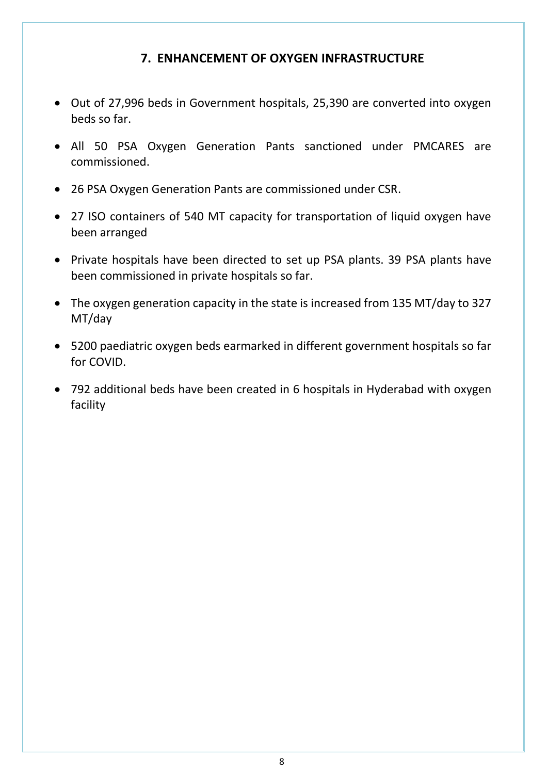### **7. ENHANCEMENT OF OXYGEN INFRASTRUCTURE**

- Out of 27,996 beds in Government hospitals, 25,390 are converted into oxygen beds so far.
- All 50 PSA Oxygen Generation Pants sanctioned under PMCARES are commissioned.
- 26 PSA Oxygen Generation Pants are commissioned under CSR.
- 27 ISO containers of 540 MT capacity for transportation of liquid oxygen have been arranged
- Private hospitals have been directed to set up PSA plants. 39 PSA plants have been commissioned in private hospitals so far.
- The oxygen generation capacity in the state is increased from 135 MT/day to 327 MT/day
- 5200 paediatric oxygen beds earmarked in different government hospitals so far for COVID.
- 792 additional beds have been created in 6 hospitals in Hyderabad with oxygen facility